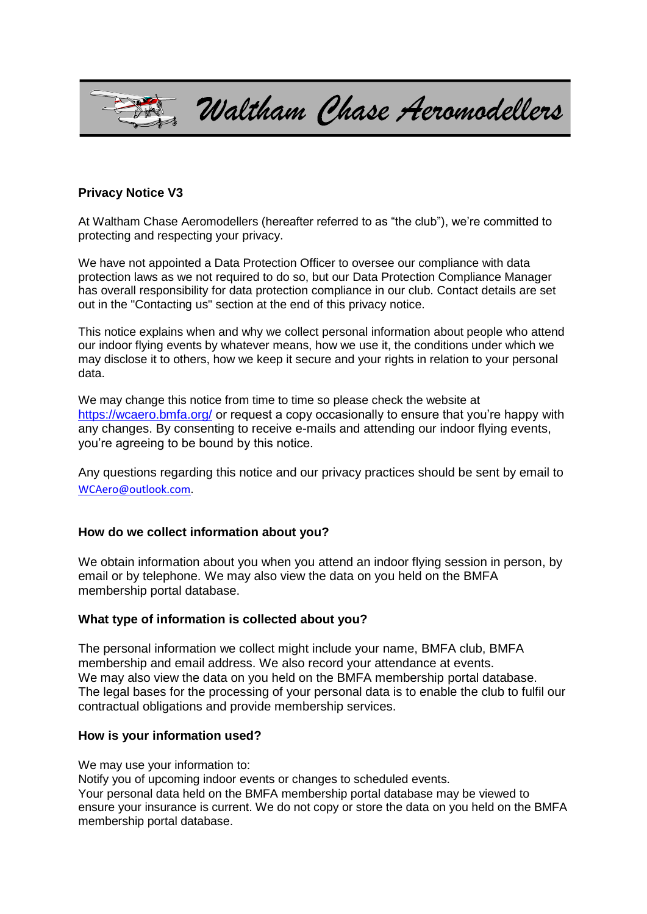

## **Privacy Notice V3**

At Waltham Chase Aeromodellers (hereafter referred to as "the club"), we're committed to protecting and respecting your privacy.

We have not appointed a Data Protection Officer to oversee our compliance with data protection laws as we not required to do so, but our Data Protection Compliance Manager has overall responsibility for data protection compliance in our club. Contact details are set out in the "Contacting us" section at the end of this privacy notice.

This notice explains when and why we collect personal information about people who attend our indoor flying events by whatever means, how we use it, the conditions under which we may disclose it to others, how we keep it secure and your rights in relation to your personal data.

We may change this notice from time to time so please check the website at https://wcaero.bmfa.org/ or request a copy occasionally to ensure that you're happy with any changes. By consenting to receive e-mails and attending our indoor flying events, you're agreeing to be bound by this notice.

Any questions regarding this notice and our privacy practices should be sent by email to [WCAero@outlook.com.](javascript:handleMailto()

#### **How do we collect information about you?**

We obtain information about you when you attend an indoor flying session in person, by email or by telephone. We may also view the data on you held on the BMFA membership portal database.

#### **What type of information is collected about you?**

The personal information we collect might include your name, BMFA club, BMFA membership and email address. We also record your attendance at events. We may also view the data on you held on the BMFA membership portal database. The legal bases for the processing of your personal data is to enable the club to fulfil our contractual obligations and provide membership services.

#### **How is your information used?**

We may use your information to:

Notify you of upcoming indoor events or changes to scheduled events. Your personal data held on the BMFA membership portal database may be viewed to ensure your insurance is current. We do not copy or store the data on you held on the BMFA membership portal database.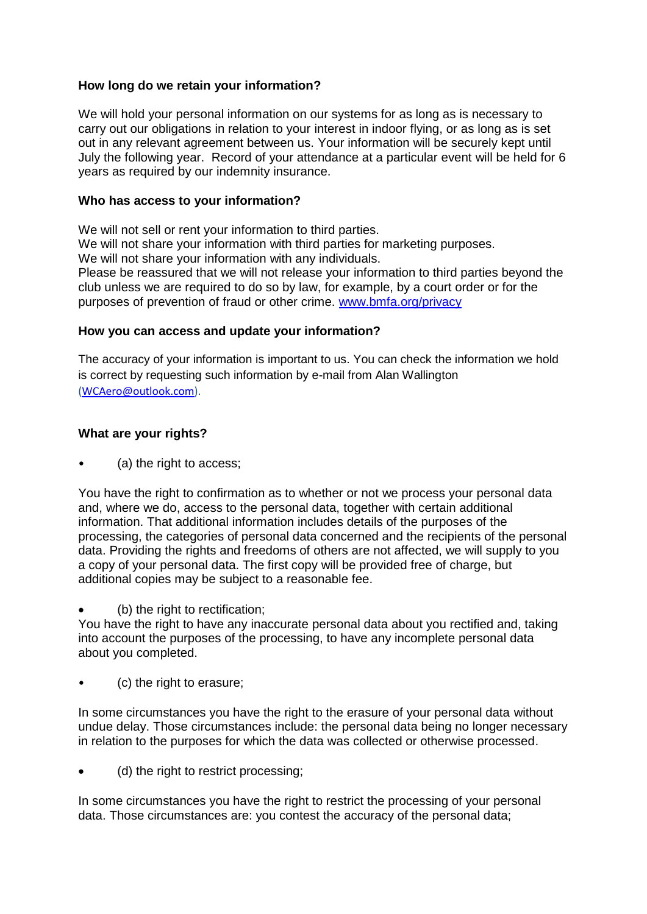## **How long do we retain your information?**

We will hold your personal information on our systems for as long as is necessary to carry out our obligations in relation to your interest in indoor flying, or as long as is set out in any relevant agreement between us. Your information will be securely kept until July the following year. Record of your attendance at a particular event will be held for 6 years as required by our indemnity insurance.

### **Who has access to your information?**

We will not sell or rent your information to third parties. We will not share your information with third parties for marketing purposes.

We will not share your information with any individuals.

Please be reassured that we will not release your information to third parties beyond the club unless we are required to do so by law, for example, by a court order or for the purposes of prevention of fraud or other crime. [www.bmfa.org/privacy](http://www.bmfa.org/privacy)

### **How you can access and update your information?**

The accuracy of your information is important to us. You can check the information we hold is correct by requesting such information by e-mail from Alan Wallington [\(WCAero@outlook.com\)](javascript:handleMailto().

# **What are your rights?**

(a) the right to access;

You have the right to confirmation as to whether or not we process your personal data and, where we do, access to the personal data, together with certain additional information. That additional information includes details of the purposes of the processing, the categories of personal data concerned and the recipients of the personal data. Providing the rights and freedoms of others are not affected, we will supply to you a copy of your personal data. The first copy will be provided free of charge, but additional copies may be subject to a reasonable fee.

(b) the right to rectification;

You have the right to have any inaccurate personal data about you rectified and, taking into account the purposes of the processing, to have any incomplete personal data about you completed.

• (c) the right to erasure;

In some circumstances you have the right to the erasure of your personal data without undue delay. Those circumstances include: the personal data being no longer necessary in relation to the purposes for which the data was collected or otherwise processed.

(d) the right to restrict processing;

In some circumstances you have the right to restrict the processing of your personal data. Those circumstances are: you contest the accuracy of the personal data;